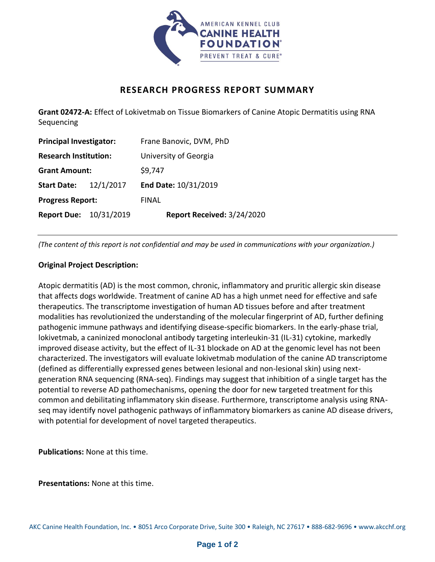

## **RESEARCH PROGRESS REPORT SUMMARY**

**Grant 02472-A:** Effect of Lokivetmab on Tissue Biomarkers of Canine Atopic Dermatitis using RNA Sequencing

| <b>Principal Investigator:</b> |           | Frane Banovic, DVM, PhD    |
|--------------------------------|-----------|----------------------------|
| <b>Research Institution:</b>   |           | University of Georgia      |
| <b>Grant Amount:</b>           |           | \$9,747                    |
| <b>Start Date:</b>             | 12/1/2017 | End Date: 10/31/2019       |
| <b>Progress Report:</b>        |           | <b>FINAL</b>               |
| <b>Report Due: 10/31/2019</b>  |           | Report Received: 3/24/2020 |

*(The content of this report is not confidential and may be used in communications with your organization.)*

## **Original Project Description:**

Atopic dermatitis (AD) is the most common, chronic, inflammatory and pruritic allergic skin disease that affects dogs worldwide. Treatment of canine AD has a high unmet need for effective and safe therapeutics. The transcriptome investigation of human AD tissues before and after treatment modalities has revolutionized the understanding of the molecular fingerprint of AD, further defining pathogenic immune pathways and identifying disease-specific biomarkers. In the early-phase trial, lokivetmab, a caninized monoclonal antibody targeting interleukin-31 (IL-31) cytokine, markedly improved disease activity, but the effect of IL-31 blockade on AD at the genomic level has not been characterized. The investigators will evaluate lokivetmab modulation of the canine AD transcriptome (defined as differentially expressed genes between lesional and non-lesional skin) using nextgeneration RNA sequencing (RNA-seq). Findings may suggest that inhibition of a single target has the potential to reverse AD pathomechanisms, opening the door for new targeted treatment for this common and debilitating inflammatory skin disease. Furthermore, transcriptome analysis using RNAseq may identify novel pathogenic pathways of inflammatory biomarkers as canine AD disease drivers, with potential for development of novel targeted therapeutics.

**Publications:** None at this time.

**Presentations:** None at this time.